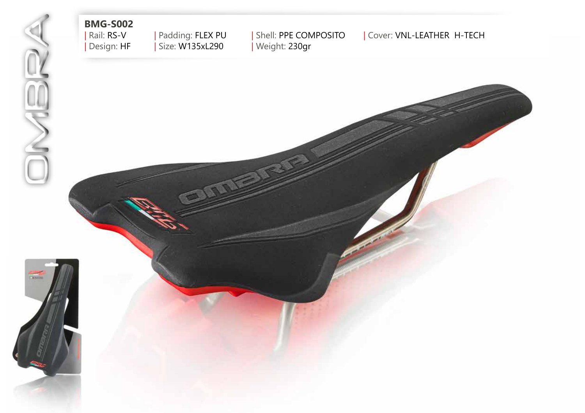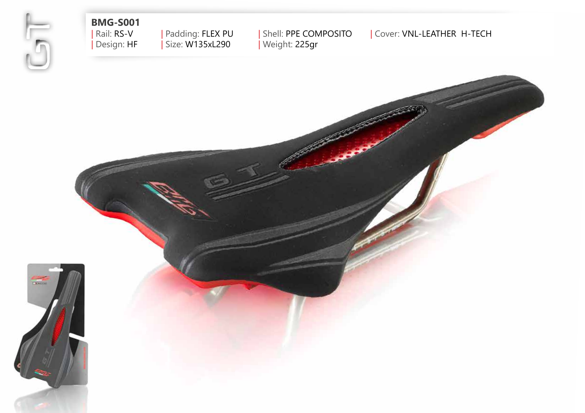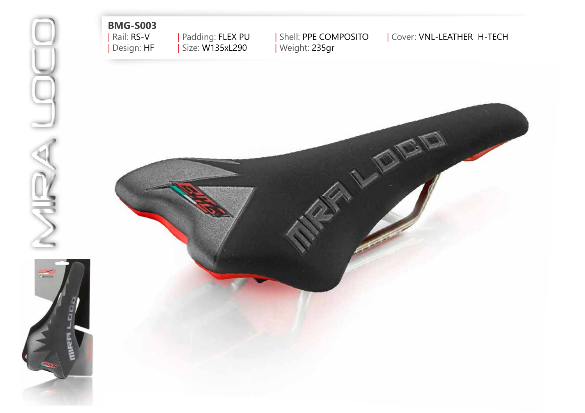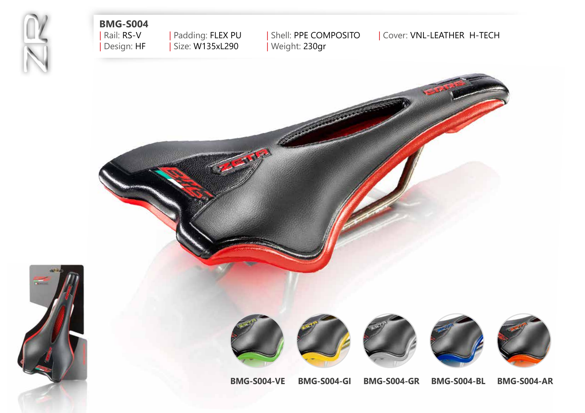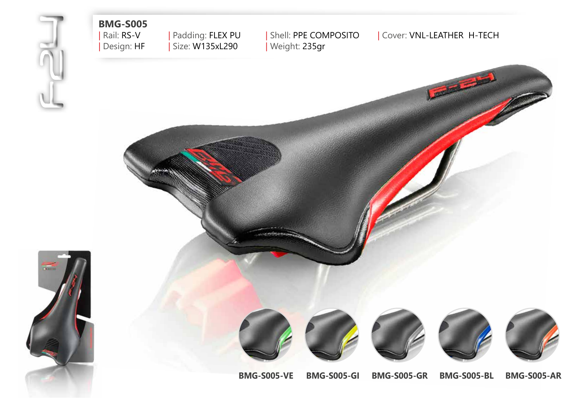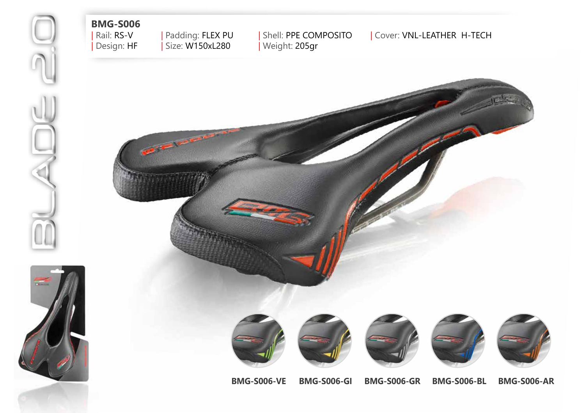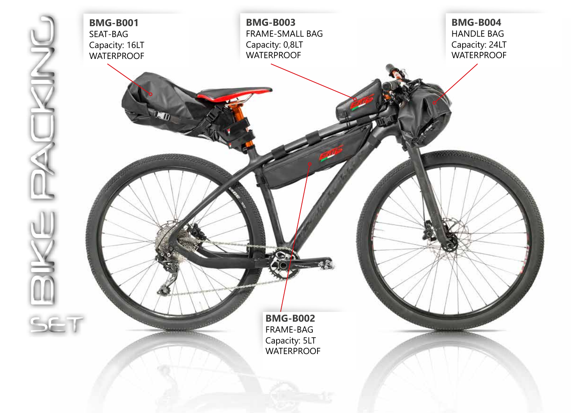